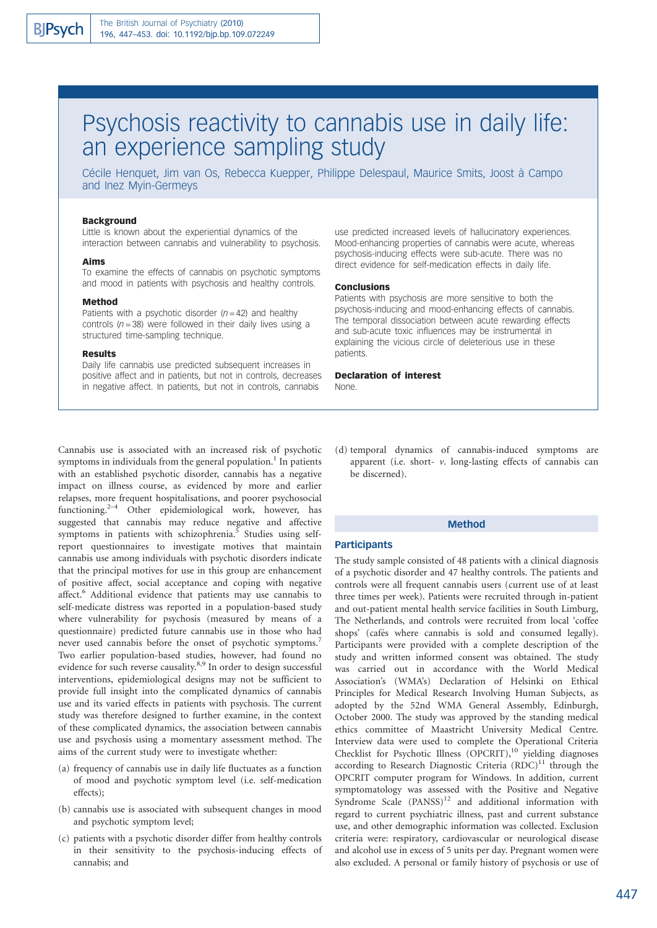# Psychosis reactivity to cannabis use in daily life: an experience sampling study

Cécile Henquet, Jim van Os, Rebecca Kuepper, Philippe Delespaul, Maurice Smits, Joost à Campo and Inez Myin-Germeys

#### Background

Little is known about the experiential dynamics of the interaction between cannabis and vulnerability to psychosis.

#### Aims

To examine the effects of cannabis on psychotic symptoms and mood in patients with psychosis and healthy controls.

#### Method

Patients with a psychotic disorder  $(n = 42)$  and healthy controls ( $n = 38$ ) were followed in their daily lives using a structured time-sampling technique.

# Results

Daily life cannabis use predicted subsequent increases in positive affect and in patients, but not in controls, decreases in negative affect. In patients, but not in controls, cannabis

use predicted increased levels of hallucinatory experiences. Mood-enhancing properties of cannabis were acute, whereas psychosis-inducing effects were sub-acute. There was no direct evidence for self-medication effects in daily life.

#### Conclusions

Patients with psychosis are more sensitive to both the psychosis-inducing and mood-enhancing effects of cannabis. The temporal dissociation between acute rewarding effects and sub-acute toxic influences may be instrumental in explaining the vicious circle of deleterious use in these patients.

# Declaration of interest

None.

Cannabis use is associated with an increased risk of psychotic symptoms in individuals from the general population.<sup>1</sup> In patients with an established psychotic disorder, cannabis has a negative impact on illness course, as evidenced by more and earlier relapses, more frequent hospitalisations, and poorer psychosocial functioning.<sup>2–4</sup> Other epidemiological work, however, has suggested that cannabis may reduce negative and affective symptoms in patients with schizophrenia.<sup>5</sup> Studies using selfreport questionnaires to investigate motives that maintain cannabis use among individuals with psychotic disorders indicate that the principal motives for use in this group are enhancement of positive affect, social acceptance and coping with negative affect.<sup>6</sup> Additional evidence that patients may use cannabis to self-medicate distress was reported in a population-based study where vulnerability for psychosis (measured by means of a questionnaire) predicted future cannabis use in those who had never used cannabis before the onset of psychotic symptoms.<sup>7</sup> Two earlier population-based studies, however, had found no evidence for such reverse causality.<sup>8,9</sup> In order to design successful interventions, epidemiological designs may not be sufficient to provide full insight into the complicated dynamics of cannabis use and its varied effects in patients with psychosis. The current study was therefore designed to further examine, in the context of these complicated dynamics, the association between cannabis use and psychosis using a momentary assessment method. The aims of the current study were to investigate whether:

- (a) frequency of cannabis use in daily life fluctuates as a function of mood and psychotic symptom level (i.e. self-medication effects);
- (b) cannabis use is associated with subsequent changes in mood and psychotic symptom level;
- (c) patients with a psychotic disorder differ from healthy controls in their sensitivity to the psychosis-inducing effects of cannabis; and

(d) temporal dynamics of cannabis-induced symptoms are apparent (i.e. short- $v$ . long-lasting effects of cannabis can be discerned).

# Method

## **Participants**

The study sample consisted of 48 patients with a clinical diagnosis of a psychotic disorder and 47 healthy controls. The patients and controls were all frequent cannabis users (current use of at least three times per week). Patients were recruited through in-patient and out-patient mental health service facilities in South Limburg, The Netherlands, and controls were recruited from local 'coffee shops' (cafés where cannabis is sold and consumed legally). Participants were provided with a complete description of the study and written informed consent was obtained. The study was carried out in accordance with the World Medical Association's (WMA's) Declaration of Helsinki on Ethical Principles for Medical Research Involving Human Subjects, as adopted by the 52nd WMA General Assembly, Edinburgh, October 2000. The study was approved by the standing medical ethics committee of Maastricht University Medical Centre. Interview data were used to complete the Operational Criteria Checklist for Psychotic Illness (OPCRIT),<sup>10</sup> yielding diagnoses according to Research Diagnostic Criteria  $(RDC)^{11}$  through the OPCRIT computer program for Windows. In addition, current symptomatology was assessed with the Positive and Negative Syndrome Scale  $(PANSS)^{12}$  and additional information with regard to current psychiatric illness, past and current substance use, and other demographic information was collected. Exclusion criteria were: respiratory, cardiovascular or neurological disease and alcohol use in excess of 5 units per day. Pregnant women were also excluded. A personal or family history of psychosis or use of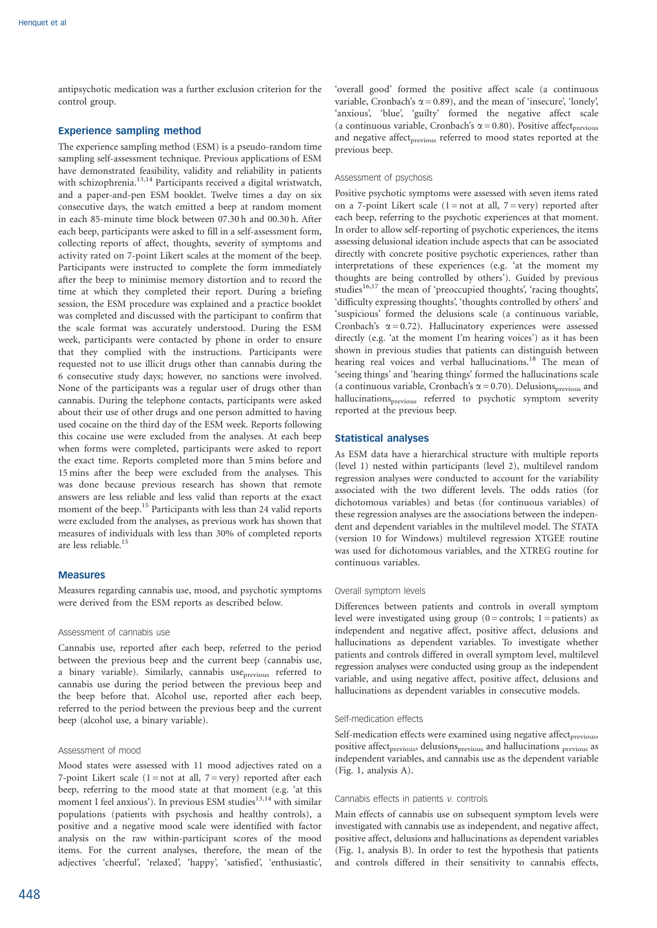antipsychotic medication was a further exclusion criterion for the control group.

# Experience sampling method

The experience sampling method (ESM) is a pseudo-random time sampling self-assessment technique. Previous applications of ESM have demonstrated feasibility, validity and reliability in patients with schizophrenia.<sup>13,14</sup> Participants received a digital wristwatch, and a paper-and-pen ESM booklet. Twelve times a day on six consecutive days, the watch emitted a beep at random moment in each 85-minute time block between 07.30 h and 00.30 h. After each beep, participants were asked to fill in a self-assessment form, collecting reports of affect, thoughts, severity of symptoms and activity rated on 7-point Likert scales at the moment of the beep. Participants were instructed to complete the form immediately after the beep to minimise memory distortion and to record the time at which they completed their report. During a briefing session, the ESM procedure was explained and a practice booklet was completed and discussed with the participant to confirm that the scale format was accurately understood. During the ESM week, participants were contacted by phone in order to ensure that they complied with the instructions. Participants were requested not to use illicit drugs other than cannabis during the 6 consecutive study days; however, no sanctions were involved. None of the participants was a regular user of drugs other than cannabis. During the telephone contacts, participants were asked about their use of other drugs and one person admitted to having used cocaine on the third day of the ESM week. Reports following this cocaine use were excluded from the analyses. At each beep when forms were completed, participants were asked to report the exact time. Reports completed more than 5 mins before and 15 mins after the beep were excluded from the analyses. This was done because previous research has shown that remote answers are less reliable and less valid than reports at the exact moment of the beep.<sup>15</sup> Participants with less than 24 valid reports were excluded from the analyses, as previous work has shown that measures of individuals with less than 30% of completed reports are less reliable.15

#### Measures

Measures regarding cannabis use, mood, and psychotic symptoms were derived from the ESM reports as described below.

# Assessment of cannabis use

Cannabis use, reported after each beep, referred to the period between the previous beep and the current beep (cannabis use, a binary variable). Similarly, cannabis use<sub>previous</sub> referred to cannabis use during the period between the previous beep and the beep before that. Alcohol use, reported after each beep, referred to the period between the previous beep and the current beep (alcohol use, a binary variable).

#### Assessment of mood

Mood states were assessed with 11 mood adjectives rated on a 7-point Likert scale  $(1 = not at all, 7 = very)$  reported after each beep, referring to the mood state at that moment (e.g. 'at this moment I feel anxious'). In previous ESM studies<sup>13,14</sup> with similar populations (patients with psychosis and healthy controls), a positive and a negative mood scale were identified with factor analysis on the raw within-participant scores of the mood items. For the current analyses, therefore, the mean of the adjectives 'cheerful', 'relaxed', 'happy', 'satisfied', 'enthusiastic',

'overall good' formed the positive affect scale (a continuous variable, Cronbach's  $\alpha$  = 0.89), and the mean of 'insecure', 'lonely', 'anxious', 'blue', 'guilty' formed the negative affect scale (a continuous variable, Cronbach's  $\alpha$  = 0.80). Positive affect<sub>previous</sub> and negative affect<sub>previous</sub> referred to mood states reported at the previous beep.

## Assessment of psychosis

Positive psychotic symptoms were assessed with seven items rated on a 7-point Likert scale  $(1 = not at all, 7 = very)$  reported after each beep, referring to the psychotic experiences at that moment. In order to allow self-reporting of psychotic experiences, the items assessing delusional ideation include aspects that can be associated directly with concrete positive psychotic experiences, rather than interpretations of these experiences (e.g. 'at the moment my thoughts are being controlled by others'). Guided by previous studies<sup>16,17</sup> the mean of 'preoccupied thoughts', 'racing thoughts', 'difficulty expressing thoughts', 'thoughts controlled by others' and 'suspicious' formed the delusions scale (a continuous variable, Cronbach's  $\alpha = 0.72$ ). Hallucinatory experiences were assessed directly (e.g. 'at the moment I'm hearing voices') as it has been shown in previous studies that patients can distinguish between hearing real voices and verbal hallucinations.<sup>18</sup> The mean of 'seeing things' and 'hearing things' formed the hallucinations scale (a continuous variable, Cronbach's  $\alpha$  = 0.70). Delusions<sub>previous</sub> and hallucinations<sub>previous</sub> referred to psychotic symptom severity reported at the previous beep.

# Statistical analyses

As ESM data have a hierarchical structure with multiple reports (level 1) nested within participants (level 2), multilevel random regression analyses were conducted to account for the variability associated with the two different levels. The odds ratios (for dichotomous variables) and betas (for continuous variables) of these regression analyses are the associations between the independent and dependent variables in the multilevel model. The STATA (version 10 for Windows) multilevel regression XTGEE routine was used for dichotomous variables, and the XTREG routine for continuous variables.

#### Overall symptom levels

Differences between patients and controls in overall symptom level were investigated using group  $(0 = \text{controls}; 1 = \text{patients})$  as independent and negative affect, positive affect, delusions and hallucinations as dependent variables. To investigate whether patients and controls differed in overall symptom level, multilevel regression analyses were conducted using group as the independent variable, and using negative affect, positive affect, delusions and hallucinations as dependent variables in consecutive models.

#### Self-medication effects

Self-medication effects were examined using negative affect<sub>previous</sub>, positive affect<sub>previous</sub>, delusions<sub>previous</sub> and hallucinations previous</sub> as independent variables, and cannabis use as the dependent variable (Fig. 1, analysis A).

#### Cannabis effects in patients v. controls

Main effects of cannabis use on subsequent symptom levels were investigated with cannabis use as independent, and negative affect, positive affect, delusions and hallucinations as dependent variables (Fig. 1, analysis B). In order to test the hypothesis that patients and controls differed in their sensitivity to cannabis effects,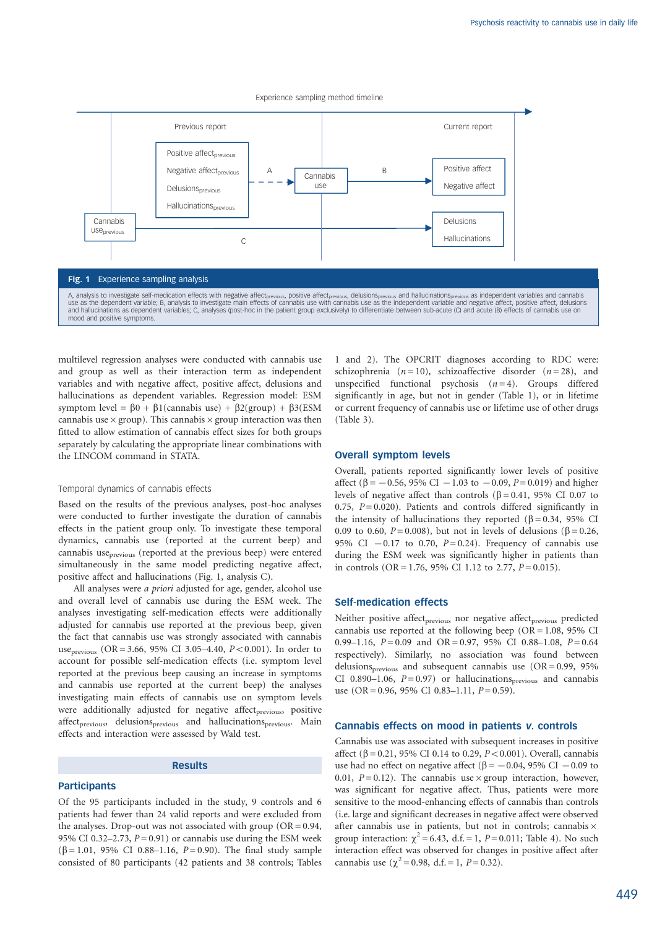



multilevel regression analyses were conducted with cannabis use and group as well as their interaction term as independent variables and with negative affect, positive affect, delusions and hallucinations as dependent variables. Regression model: ESM symptom level =  $\beta$ 0 +  $\beta$ 1(cannabis use) +  $\beta$ 2(group) +  $\beta$ 3(ESM cannabis use  $\times$  group). This cannabis  $\times$  group interaction was then fitted to allow estimation of cannabis effect sizes for both groups separately by calculating the appropriate linear combinations with the LINCOM command in STATA.

#### Temporal dynamics of cannabis effects

Based on the results of the previous analyses, post-hoc analyses were conducted to further investigate the duration of cannabis effects in the patient group only. To investigate these temporal dynamics, cannabis use (reported at the current beep) and cannabis use<sub>previous</sub> (reported at the previous beep) were entered simultaneously in the same model predicting negative affect, positive affect and hallucinations (Fig. 1, analysis C).

All analyses were *a priori* adjusted for age, gender, alcohol use and overall level of cannabis use during the ESM week. The analyses investigating self-medication effects were additionally adjusted for cannabis use reported at the previous beep, given the fact that cannabis use was strongly associated with cannabis use<sub>previous</sub> (OR = 3.66, 95% CI 3.05–4.40,  $P < 0.001$ ). In order to account for possible self-medication effects (i.e. symptom level reported at the previous beep causing an increase in symptoms and cannabis use reported at the current beep) the analyses investigating main effects of cannabis use on symptom levels were additionally adjusted for negative affect<sub>previous</sub>, positive affect<sub>previous</sub>, delusions<sub>previous</sub> and hallucinations<sub>previous</sub>. Main effects and interaction were assessed by Wald test.

# Results

## **Participants**

Of the 95 participants included in the study, 9 controls and 6 patients had fewer than 24 valid reports and were excluded from the analyses. Drop-out was not associated with group  $(OR = 0.94,$ 95% CI 0.32–2.73,  $P = 0.91$ ) or cannabis use during the ESM week ( $\beta$  = 1.01, 95% CI 0.88–1.16, P = 0.90). The final study sample consisted of 80 participants (42 patients and 38 controls; Tables 1 and 2). The OPCRIT diagnoses according to RDC were: schizophrenia  $(n = 10)$ , schizoaffective disorder  $(n = 28)$ , and unspecified functional psychosis  $(n=4)$ . Groups differed significantly in age, but not in gender (Table 1), or in lifetime or current frequency of cannabis use or lifetime use of other drugs (Table 3).

#### Overall symptom levels

Overall, patients reported significantly lower levels of positive affect ( $\beta$  = -0.56, 95% CI -1.03 to -0.09, P= 0.019) and higher levels of negative affect than controls  $(\beta = 0.41, 95\% \text{ CI } 0.07 \text{ to }$ 0.75,  $P = 0.020$ ). Patients and controls differed significantly in the intensity of hallucinations they reported ( $\beta = 0.34$ , 95% CI 0.09 to 0.60,  $P = 0.008$ ), but not in levels of delusions ( $\beta = 0.26$ , 95% CI  $-0.17$  to 0.70,  $P = 0.24$ ). Frequency of cannabis use during the ESM week was significantly higher in patients than in controls (OR = 1.76, 95% CI 1.12 to 2.77,  $P = 0.015$ ).

#### Self-medication effects

Neither positive affect<sub>previous</sub> nor negative affect<sub>previous</sub> predicted cannabis use reported at the following beep ( $OR = 1.08$ , 95% CI 0.99–1.16,  $P = 0.09$  and  $OR = 0.97$ , 95% CI 0.88–1.08,  $P = 0.64$ respectively). Similarly, no association was found between delusions<sub>previous</sub> and subsequent cannabis use  $(OR = 0.99, 95\%)$ CI 0.890-1.06,  $P = 0.97$ ) or hallucinations<sub>previous</sub> and cannabis use (OR = 0.96, 95% CI 0.83–1.11,  $P = 0.59$ ).

#### Cannabis effects on mood in patients v. controls

Cannabis use was associated with subsequent increases in positive affect ( $\beta$  = 0.21, 95% CI 0.14 to 0.29, *P* < 0.001). Overall, cannabis use had no effect on negative affect ( $\beta$  = -0.04, 95% CI -0.09 to 0.01,  $P = 0.12$ ). The cannabis use  $\times$  group interaction, however, was significant for negative affect. Thus, patients were more sensitive to the mood-enhancing effects of cannabis than controls (i.e. large and significant decreases in negative affect were observed after cannabis use in patients, but not in controls; cannabis $\times$ group interaction:  $\chi^2$  = 6.43, d.f. = 1, P = 0.011; Table 4). No such interaction effect was observed for changes in positive affect after cannabis use ( $\chi^2$  = 0.98, d.f. = 1, P = 0.32).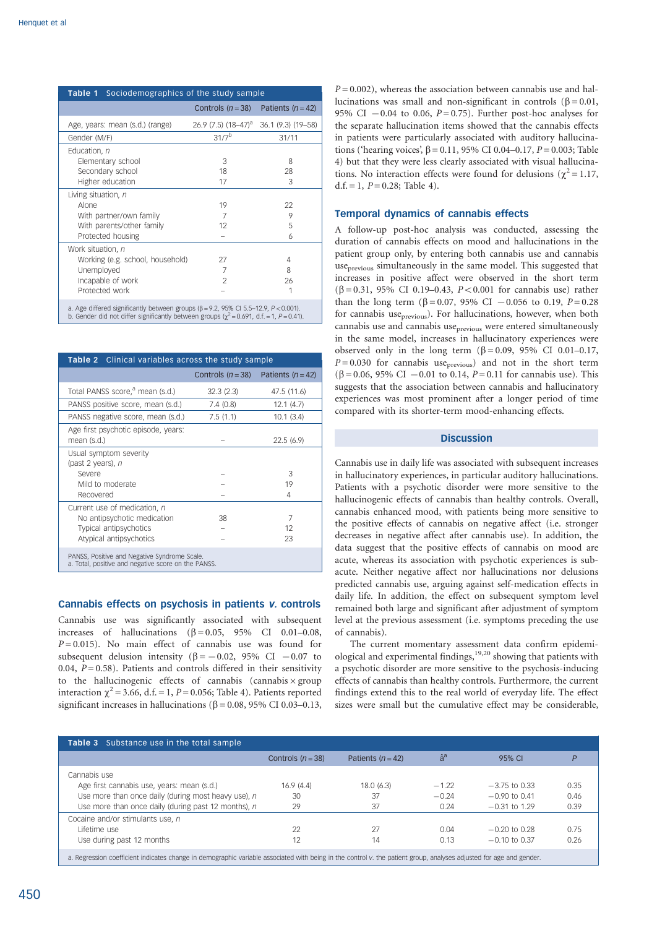| <b>Table 1</b> Sociodemographics of the study sample                                                                                                                                         |                                             |                     |
|----------------------------------------------------------------------------------------------------------------------------------------------------------------------------------------------|---------------------------------------------|---------------------|
|                                                                                                                                                                                              | Controls $(n=38)$                           | Patients $(n = 42)$ |
| Age, years: mean (s.d.) (range)                                                                                                                                                              | $26.9$ (7.5) $(18-47)^a$ 36.1 (9.3) (19-58) |                     |
| Gender (M/F)                                                                                                                                                                                 | $31/7^{b}$                                  | 31/11               |
| Education, n<br>Elementary school<br>Secondary school<br>Higher education                                                                                                                    | 3<br>18<br>17                               | 8<br>28<br>3        |
| Living situation, n<br>Alone<br>With partner/own family<br>With parents/other family<br>Protected housing                                                                                    | 19<br>7<br>$12^{1}$                         | 22<br>9<br>5<br>6   |
| Work situation, n<br>Working (e.g. school, household)<br>Unemployed<br>Incapable of work<br>Protected work                                                                                   | 27<br>7<br>$\mathfrak{p}$                   | 4<br>8<br>26<br>1   |
| a. Age differed significantly between groups ( $\beta$ = 9.2, 95% CI 5.5–12.9, P < 0.001).<br>b. Gender did not differ significantly between groups ( $\chi^2$ = 0.691, d.f. = 1, P = 0.41). |                                             |                     |

| <b>Table 2</b> Clinical variables across the study sample                                                        |                   |                     |
|------------------------------------------------------------------------------------------------------------------|-------------------|---------------------|
|                                                                                                                  | Controls $(n=38)$ | Patients $(n = 42)$ |
| Total PANSS score, <sup>a</sup> mean (s.d.)                                                                      | 32.3(2.3)         | 47.5 (11.6)         |
| PANSS positive score, mean (s.d.)                                                                                | 7.4(0.8)          | 12.1(4.7)           |
| PANSS negative score, mean (s.d.)                                                                                | 7.5(1.1)          | 10.1(3.4)           |
| Age first psychotic episode, years:<br>mean (s.d.)                                                               |                   | 22.5(6.9)           |
| Usual symptom severity<br>(past 2 years), n<br>Severe<br>Mild to moderate<br>Recovered                           |                   | 3<br>19<br>4        |
| Current use of medication, n<br>No antipsychotic medication<br>Typical antipsychotics<br>Atypical antipsychotics | 38                | 7<br>12<br>23       |
| PANSS, Positive and Negative Syndrome Scale.<br>a. Total, positive and negative score on the PANSS.              |                   |                     |

#### Cannabis effects on psychosis in patients v. controls

Cannabis use was significantly associated with subsequent increases of hallucinations  $(\beta = 0.05, 95\% \text{ CI} 0.01 - 0.08,$  $P = 0.015$ ). No main effect of cannabis use was found for subsequent delusion intensity ( $\beta$  = -0.02, 95% CI -0.07 to 0.04,  $P = 0.58$ ). Patients and controls differed in their sensitivity to the hallucinogenic effects of cannabis (cannabis $\times$  group interaction  $\chi^2$  = 3.66, d.f. = 1, P = 0.056; Table 4). Patients reported significant increases in hallucinations ( $\beta$  = 0.08, 95% CI 0.03–0.13,  $P = 0.002$ ), whereas the association between cannabis use and hallucinations was small and non-significant in controls ( $\beta$  = 0.01, 95% CI  $-0.04$  to 0.06,  $P = 0.75$ ). Further post-hoc analyses for the separate hallucination items showed that the cannabis effects in patients were particularly associated with auditory hallucinations ('hearing voices',  $\beta$  = 0.11, 95% CI 0.04–0.17, P = 0.003; Table 4) but that they were less clearly associated with visual hallucinations. No interaction effects were found for delusions ( $\chi^2$  = 1.17, d.f. = 1,  $P = 0.28$ ; Table 4).

# Temporal dynamics of cannabis effects

A follow-up post-hoc analysis was conducted, assessing the duration of cannabis effects on mood and hallucinations in the patient group only, by entering both cannabis use and cannabis useprevious simultaneously in the same model. This suggested that increases in positive affect were observed in the short term ( $\beta$  = 0.31, 95% CI 0.19–0.43, P < 0.001 for cannabis use) rather than the long term ( $\beta = 0.07$ , 95% CI  $-0.056$  to 0.19, P= 0.28 for cannabis use<sub>previous</sub>). For hallucinations, however, when both cannabis use and cannabis use<sub>previous</sub> were entered simultaneously in the same model, increases in hallucinatory experiences were observed only in the long term  $(\beta = 0.09, 95\% \text{ CI } 0.01-0.17,$  $P = 0.030$  for cannabis use<sub>previous</sub>) and not in the short term  $(\beta = 0.06, 95\% \text{ CI} - 0.01 \text{ to } 0.14, P = 0.11 \text{ for cannabis use}).$  This suggests that the association between cannabis and hallucinatory experiences was most prominent after a longer period of time compared with its shorter-term mood-enhancing effects.

# **Discussion**

Cannabis use in daily life was associated with subsequent increases in hallucinatory experiences, in particular auditory hallucinations. Patients with a psychotic disorder were more sensitive to the hallucinogenic effects of cannabis than healthy controls. Overall, cannabis enhanced mood, with patients being more sensitive to the positive effects of cannabis on negative affect (i.e. stronger decreases in negative affect after cannabis use). In addition, the data suggest that the positive effects of cannabis on mood are acute, whereas its association with psychotic experiences is subacute. Neither negative affect nor hallucinations nor delusions predicted cannabis use, arguing against self-medication effects in daily life. In addition, the effect on subsequent symptom level remained both large and significant after adjustment of symptom level at the previous assessment (i.e. symptoms preceding the use of cannabis).

The current momentary assessment data confirm epidemiological and experimental findings,<sup>19,20</sup> showing that patients with a psychotic disorder are more sensitive to the psychosis-inducing effects of cannabis than healthy controls. Furthermore, the current findings extend this to the real world of everyday life. The effect sizes were small but the cumulative effect may be considerable,

| <b>Table 3</b> Substance use in the total sample                                                                                                                    |                   |                     |             |                 |      |
|---------------------------------------------------------------------------------------------------------------------------------------------------------------------|-------------------|---------------------|-------------|-----------------|------|
|                                                                                                                                                                     | Controls $(n=38)$ | Patients $(n = 42)$ | $\hat{a}^a$ | 95% CI          | ם    |
| Cannabis use                                                                                                                                                        |                   |                     |             |                 |      |
| Age first cannabis use, years: mean (s.d.)                                                                                                                          | 16.9(4.4)         | 18.0(6.3)           | $-1.22$     | $-3.75$ to 0.33 | 0.35 |
| Use more than once daily (during most heavy use), n                                                                                                                 | 30                | 37                  | $-0.24$     | $-0.90$ to 0.41 | 0.46 |
| Use more than once daily (during past 12 months), $n$                                                                                                               | 29                | 37                  | 0.24        | $-0.31$ to 1.29 | 0.39 |
| Cocaine and/or stimulants use, n                                                                                                                                    |                   |                     |             |                 |      |
| Lifetime use                                                                                                                                                        | 22                | 27                  | 0.04        | $-0.20$ to 0.28 | 0.75 |
| Use during past 12 months                                                                                                                                           | 12                | 14                  | 0.13        | $-0.10$ to 0.37 | 0.26 |
| a. Regression coefficient indicates change in demographic variable associated with being in the control v, the patient group, analyses adjusted for age and gender. |                   |                     |             |                 |      |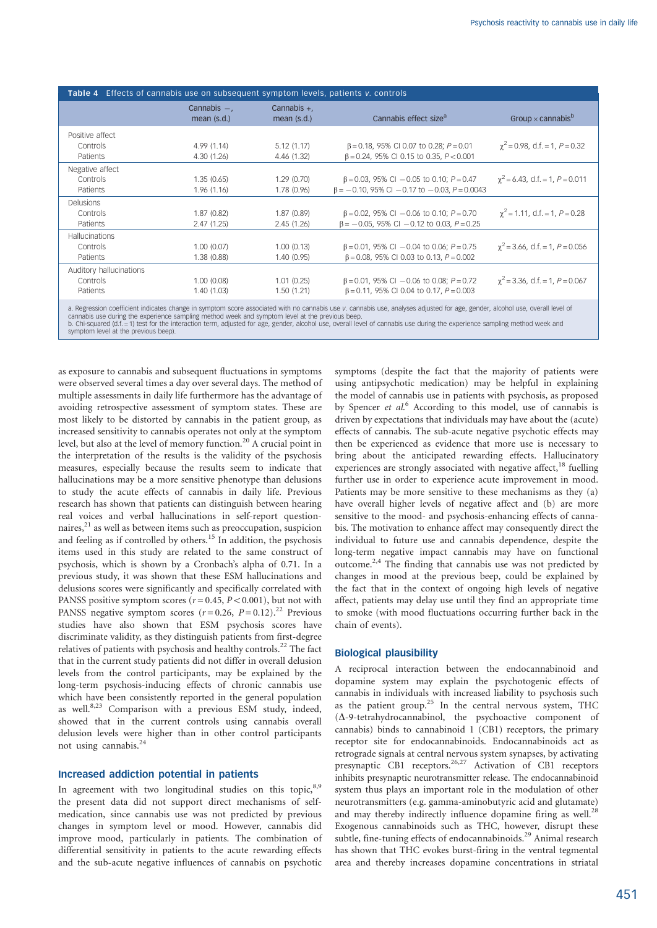| Effects of cannabis use on subsequent symptom levels, patients v. controls<br>Table 4 |                               |                               |                                                    |                                        |
|---------------------------------------------------------------------------------------|-------------------------------|-------------------------------|----------------------------------------------------|----------------------------------------|
|                                                                                       | Cannabis $-$ ,<br>mean (s.d.) | Cannabis $+$ ,<br>mean (s.d.) | Cannabis effect size <sup>a</sup>                  | Group $\times$ cannabis <sup>b</sup>   |
| Positive affect                                                                       |                               |                               |                                                    |                                        |
| Controls                                                                              | 4.99(1.14)                    | 5.12(1.17)                    | $\beta$ = 0.18, 95% CI 0.07 to 0.28; P = 0.01      | $\gamma^2$ = 0.98, d.f. = 1, P = 0.32  |
| Patients                                                                              | 4.30 (1.26)                   | 4.46 (1.32)                   | $\beta$ = 0.24, 95% CI 0.15 to 0.35, P < 0.001     |                                        |
| Negative affect                                                                       |                               |                               |                                                    |                                        |
| Controls                                                                              | 1.35(0.65)                    | 1.29(0.70)                    | $\beta$ = 0.03, 95% CI - 0.05 to 0.10; P = 0.47    | $\gamma^2$ = 6.43, d.f. = 1, P = 0.011 |
| Patients                                                                              | 1.96(1.16)                    | 1.78(0.96)                    | $\beta$ = -0.10, 95% CI -0.17 to -0.03, P = 0.0043 |                                        |
| <b>Delusions</b>                                                                      |                               |                               |                                                    |                                        |
| Controls                                                                              | 1.87(0.82)                    | 1.87(0.89)                    | $\beta$ = 0.02, 95% CI - 0.06 to 0.10; P = 0.70    | $\gamma^2$ = 1.11, d.f. = 1, P = 0.28  |
| Patients                                                                              | 2.47(1.25)                    | 2.45(1.26)                    | $\beta$ = -0.05, 95% CI -0.12 to 0.03, P = 0.25    |                                        |
| <b>Hallucinations</b>                                                                 |                               |                               |                                                    |                                        |
| Controls                                                                              | 1.00(0.07)                    | 1.00(0.13)                    | $\beta$ = 0.01, 95% CI - 0.04 to 0.06; P = 0.75    | $\gamma^2$ = 3.66, d.f. = 1, P = 0.056 |
| Patients                                                                              | 1.38(0.88)                    | 1.40(0.95)                    | $\beta$ = 0.08, 95% CI 0.03 to 0.13, P = 0.002     |                                        |
| Auditory hallucinations                                                               |                               |                               |                                                    |                                        |
| Controls                                                                              | 1.00(0.08)                    | 1.01(0.25)                    | $\beta$ = 0.01, 95% CI - 0.06 to 0.08; P = 0.72    | $\gamma^2$ = 3.36, d.f. = 1, P = 0.067 |
| Patients                                                                              | 1.40(1.03)                    | 1.50(1.21)                    | $\beta$ = 0.11, 95% CI 0.04 to 0.17, P = 0.003     |                                        |
|                                                                                       |                               |                               |                                                    |                                        |

a. Regression coefficient indicates change in symptom score associated with no cannabis use v. cannabis use, analyses adjusted for age, gender, alcohol use, overall level of cannabis use during the experience sampling method week and symptom level at the previous beep.<br>b. Chi-squared (d.f. = 1) test for the interaction term, adjusted for age, gender, alcohol use, overall level of cannabis use

as exposure to cannabis and subsequent fluctuations in symptoms were observed several times a day over several days. The method of multiple assessments in daily life furthermore has the advantage of avoiding retrospective assessment of symptom states. These are most likely to be distorted by cannabis in the patient group, as increased sensitivity to cannabis operates not only at the symptom level, but also at the level of memory function.<sup>20</sup> A crucial point in the interpretation of the results is the validity of the psychosis measures, especially because the results seem to indicate that hallucinations may be a more sensitive phenotype than delusions to study the acute effects of cannabis in daily life. Previous research has shown that patients can distinguish between hearing real voices and verbal hallucinations in self-report questionnaires,<sup>21</sup> as well as between items such as preoccupation, suspicion and feeling as if controlled by others.<sup>15</sup> In addition, the psychosis items used in this study are related to the same construct of psychosis, which is shown by a Cronbach's alpha of 0.71. In a previous study, it was shown that these ESM hallucinations and delusions scores were significantly and specifically correlated with PANSS positive symptom scores  $(r=0.45, P<0.001)$ , but not with PANSS negative symptom scores  $(r=0.26, P=0.12).^{22}$  Previous studies have also shown that ESM psychosis scores have discriminate validity, as they distinguish patients from first-degree relatives of patients with psychosis and healthy controls.<sup>22</sup> The fact that in the current study patients did not differ in overall delusion levels from the control participants, may be explained by the long-term psychosis-inducing effects of chronic cannabis use which have been consistently reported in the general population as well.<sup>8,23</sup> Comparison with a previous ESM study, indeed, showed that in the current controls using cannabis overall delusion levels were higher than in other control participants not using cannabis.<sup>24</sup>

#### Increased addiction potential in patients

In agreement with two longitudinal studies on this topic,  $8,9$ the present data did not support direct mechanisms of selfmedication, since cannabis use was not predicted by previous changes in symptom level or mood. However, cannabis did improve mood, particularly in patients. The combination of differential sensitivity in patients to the acute rewarding effects and the sub-acute negative influences of cannabis on psychotic symptoms (despite the fact that the majority of patients were using antipsychotic medication) may be helpful in explaining the model of cannabis use in patients with psychosis, as proposed by Spencer et al.<sup>6</sup> According to this model, use of cannabis is driven by expectations that individuals may have about the (acute) effects of cannabis. The sub-acute negative psychotic effects may then be experienced as evidence that more use is necessary to bring about the anticipated rewarding effects. Hallucinatory experiences are strongly associated with negative affect,<sup>18</sup> fuelling further use in order to experience acute improvement in mood. Patients may be more sensitive to these mechanisms as they (a) have overall higher levels of negative affect and (b) are more sensitive to the mood- and psychosis-enhancing effects of cannabis. The motivation to enhance affect may consequently direct the individual to future use and cannabis dependence, despite the long-term negative impact cannabis may have on functional outcome.2,4 The finding that cannabis use was not predicted by changes in mood at the previous beep, could be explained by the fact that in the context of ongoing high levels of negative affect, patients may delay use until they find an appropriate time to smoke (with mood fluctuations occurring further back in the chain of events).

# Biological plausibility

A reciprocal interaction between the endocannabinoid and dopamine system may explain the psychotogenic effects of cannabis in individuals with increased liability to psychosis such as the patient group.<sup>25</sup> In the central nervous system, THC  $(\Delta$ -9-tetrahydrocannabinol, the psychoactive component of cannabis) binds to cannabinoid 1 (CB1) receptors, the primary receptor site for endocannabinoids. Endocannabinoids act as retrograde signals at central nervous system synapses, by activating presynaptic CB1 receptors.<sup>26,27</sup> Activation of CB1 receptors inhibits presynaptic neurotransmitter release. The endocannabinoid system thus plays an important role in the modulation of other neurotransmitters (e.g. gamma-aminobutyric acid and glutamate) and may thereby indirectly influence dopamine firing as well.<sup>28</sup> Exogenous cannabinoids such as THC, however, disrupt these subtle, fine-tuning effects of endocannabinoids.<sup>29</sup> Animal research has shown that THC evokes burst-firing in the ventral tegmental area and thereby increases dopamine concentrations in striatal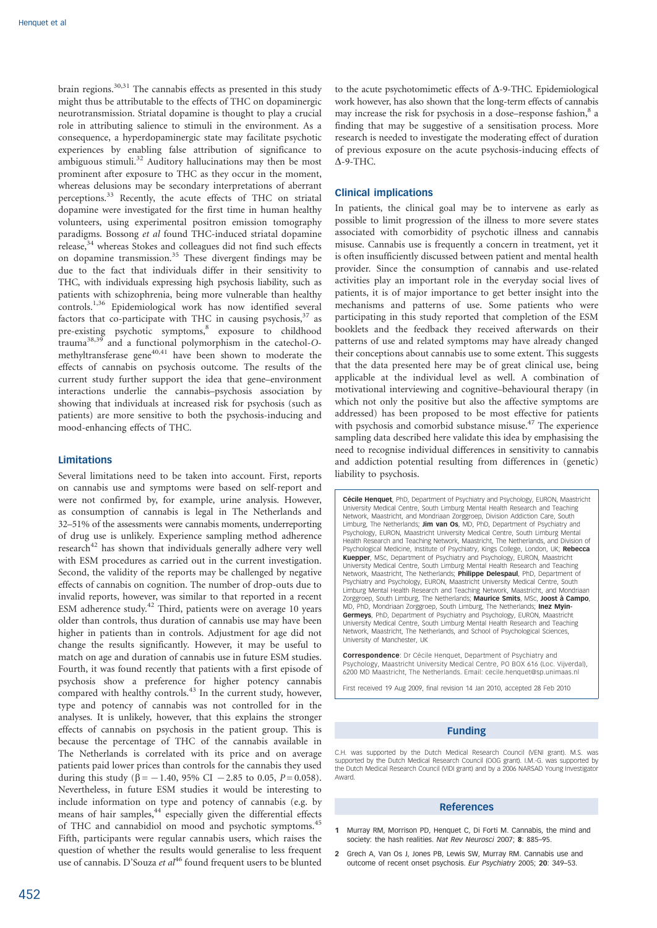brain regions. $30,31$  The cannabis effects as presented in this study might thus be attributable to the effects of THC on dopaminergic neurotransmission. Striatal dopamine is thought to play a crucial role in attributing salience to stimuli in the environment. As a consequence, a hyperdopaminergic state may facilitate psychotic experiences by enabling false attribution of significance to ambiguous stimuli.<sup>32</sup> Auditory hallucinations may then be most prominent after exposure to THC as they occur in the moment, whereas delusions may be secondary interpretations of aberrant perceptions.<sup>33</sup> Recently, the acute effects of THC on striatal dopamine were investigated for the first time in human healthy volunteers, using experimental positron emission tomography paradigms. Bossong et al found THC-induced striatal dopamine release,<sup>34</sup> whereas Stokes and colleagues did not find such effects on dopamine transmission.<sup>35</sup> These divergent findings may be due to the fact that individuals differ in their sensitivity to THC, with individuals expressing high psychosis liability, such as patients with schizophrenia, being more vulnerable than healthy controls.1,36 Epidemiological work has now identified several factors that co-participate with THC in causing psychosis,<sup>37</sup> as pre-existing psychotic symptoms,<sup>8</sup> exposure to childhood trauma38,39 and a functional polymorphism in the catechol-Omethyltransferase gene<sup>40,41</sup> have been shown to moderate the effects of cannabis on psychosis outcome. The results of the current study further support the idea that gene–environment interactions underlie the cannabis–psychosis association by showing that individuals at increased risk for psychosis (such as patients) are more sensitive to both the psychosis-inducing and mood-enhancing effects of THC.

## Limitations

Several limitations need to be taken into account. First, reports on cannabis use and symptoms were based on self-report and were not confirmed by, for example, urine analysis. However, as consumption of cannabis is legal in The Netherlands and 32–51% of the assessments were cannabis moments, underreporting of drug use is unlikely. Experience sampling method adherence research<sup>42</sup> has shown that individuals generally adhere very well with ESM procedures as carried out in the current investigation. Second, the validity of the reports may be challenged by negative effects of cannabis on cognition. The number of drop-outs due to invalid reports, however, was similar to that reported in a recent ESM adherence study.<sup>42</sup> Third, patients were on average 10 years older than controls, thus duration of cannabis use may have been higher in patients than in controls. Adjustment for age did not change the results significantly. However, it may be useful to match on age and duration of cannabis use in future ESM studies. Fourth, it was found recently that patients with a first episode of psychosis show a preference for higher potency cannabis compared with healthy controls.<sup>43</sup> In the current study, however, type and potency of cannabis was not controlled for in the analyses. It is unlikely, however, that this explains the stronger effects of cannabis on psychosis in the patient group. This is because the percentage of THC of the cannabis available in The Netherlands is correlated with its price and on average patients paid lower prices than controls for the cannabis they used during this study ( $\beta$  = -1.40, 95% CI -2.85 to 0.05, P= 0.058). Nevertheless, in future ESM studies it would be interesting to include information on type and potency of cannabis (e.g. by means of hair samples,<sup>44</sup> especially given the differential effects of THC and cannabidiol on mood and psychotic symptoms.<sup>45</sup> Fifth, participants were regular cannabis users, which raises the question of whether the results would generalise to less frequent use of cannabis. D'Souza et  $al^{46}$  found frequent users to be blunted

to the acute psychotomimetic effects of  $\Delta$ -9-THC. Epidemiological work however, has also shown that the long-term effects of cannabis may increase the risk for psychosis in a dose–response fashion,<sup>8</sup> a finding that may be suggestive of a sensitisation process. More research is needed to investigate the moderating effect of duration of previous exposure on the acute psychosis-inducing effects of  $\overline{\Delta}$ -9-THC.

# Clinical implications

In patients, the clinical goal may be to intervene as early as possible to limit progression of the illness to more severe states associated with comorbidity of psychotic illness and cannabis misuse. Cannabis use is frequently a concern in treatment, yet it is often insufficiently discussed between patient and mental health provider. Since the consumption of cannabis and use-related activities play an important role in the everyday social lives of patients, it is of major importance to get better insight into the mechanisms and patterns of use. Some patients who were participating in this study reported that completion of the ESM booklets and the feedback they received afterwards on their patterns of use and related symptoms may have already changed their conceptions about cannabis use to some extent. This suggests that the data presented here may be of great clinical use, being applicable at the individual level as well. A combination of motivational interviewing and cognitive–behavioural therapy (in which not only the positive but also the affective symptoms are addressed) has been proposed to be most effective for patients with psychosis and comorbid substance misuse.<sup>47</sup> The experience sampling data described here validate this idea by emphasising the need to recognise individual differences in sensitivity to cannabis and addiction potential resulting from differences in (genetic) liability to psychosis.

Cécile Henquet, PhD, Department of Psychiatry and Psychology, EURON, Maastricht University Medical Centre, South Limburg Mental Health Research and Teaching Network, Maastricht, and Mondriaan Zorggroep, Division Addiction Care, South Limburg, The Netherlands; Jim van Os, MD, PhD, Department of Psychiatry and Psychology, EURON, Maastricht University Medical Centre, South Limburg Mental Health Research and Teaching Network, Maastricht, The Netherlands, and Division of Psychological Medicine, Institute of Psychiatry, Kings College, London, UK; Rebecca Kuepper, MSc, Department of Psychiatry and Psychology, EURON, Maastricht University Medical Centre, South Limburg Mental Health Research and Teaching Network, Maastricht, The Netherlands; Philippe Delespaul, PhD, Department of Psychiatry and Psychology, EURON, Maastricht University Medical Centre, South Limburg Mental Health Research and Teaching Network, Maastricht, and Mondriaan Zorggroep, South Limburg, The Netherlands; Maurice Smits, MSc, Joost a` Campo, MD, PhD, Mondriaan Zorggroep, South Limburg, The Netherlands; Inez Myin-Germeys, PhD, Department of Psychiatry and Psychology, EURON, Maastricht University Medical Centre, South Limburg Mental Health Research and Teaching Network, Maastricht, The Netherlands, and School of Psychological Sciences, University of Manchester, UK

**Correspondence:** Dr Cécile Henquet, Department of Psychiatry and Psychology, Maastricht University Medical Centre, PO BOX 616 (Loc. Vijverdal), 6200 MD Maastricht, The Netherlands. Email: cecile.henquet@sp.unimaas.nl

First received 19 Aug 2009, final revision 14 Jan 2010, accepted 28 Feb 2010

# Funding

C.H. was supported by the Dutch Medical Research Council (VENI grant). M.S. was supported by the Dutch Medical Research Council (OOG grant). I.M.-G. was supported by the Dutch Medical Research Council (VIDI grant) and by a 2006 NARSAD Young Investigator Award.

# References

- 1 Murray RM, Morrison PD, Henquet C, Di Forti M. Cannabis, the mind and society: the hash realities. Nat Rev Neurosci 2007; 8: 885–95.
- 2 Grech A, Van Os J, Jones PB, Lewis SW, Murray RM. Cannabis use and outcome of recent onset psychosis. Eur Psychiatry 2005; 20: 349–53.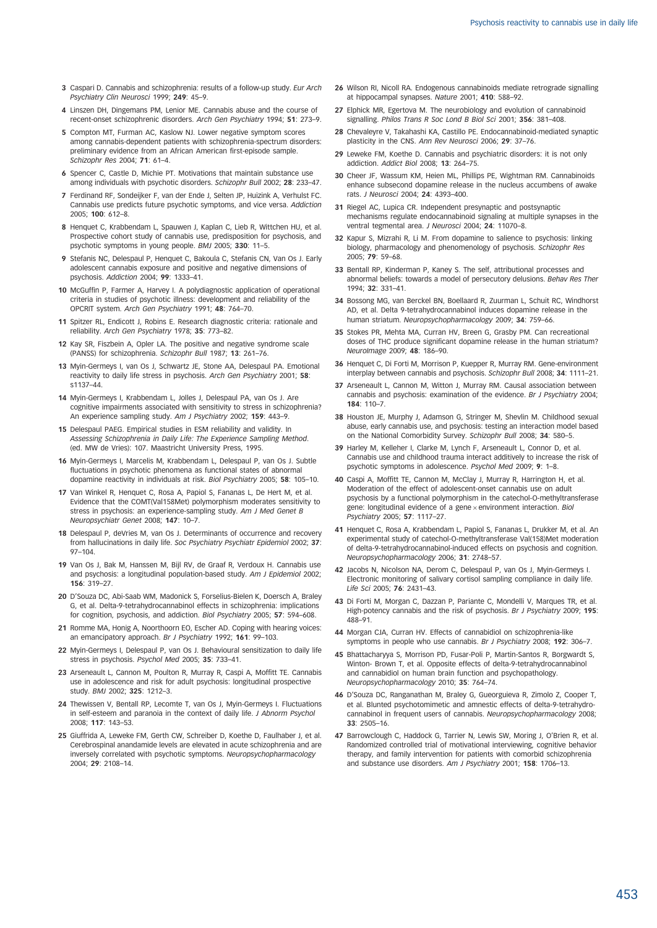- 3 Caspari D. Cannabis and schizophrenia: results of a follow-up study. Eur Arch Psychiatry Clin Neurosci 1999; 249: 45–9.
- 4 Linszen DH, Dingemans PM, Lenior ME. Cannabis abuse and the course of recent-onset schizophrenic disorders. Arch Gen Psychiatry 1994; 51: 273–9.
- 5 Compton MT, Furman AC, Kaslow NJ. Lower negative symptom scores among cannabis-dependent patients with schizophrenia-spectrum disorders: preliminary evidence from an African American first-episode sample. Schizophr Res 2004; 71: 61–4.
- 6 Spencer C, Castle D, Michie PT. Motivations that maintain substance use among individuals with psychotic disorders. Schizophr Bull 2002; 28: 233–47.
- 7 Ferdinand RF, Sondeijker F, van der Ende J, Selten JP, Huizink A, Verhulst FC. Cannabis use predicts future psychotic symptoms, and vice versa. Addiction 2005; 100: 612–8.
- 8 Henquet C, Krabbendam L, Spauwen J, Kaplan C, Lieb R, Wittchen HU, et al. Prospective cohort study of cannabis use, predisposition for psychosis, and psychotic symptoms in young people. BMJ 2005; 330: 11–5.
- 9 Stefanis NC, Delespaul P, Henquet C, Bakoula C, Stefanis CN, Van Os J. Early adolescent cannabis exposure and positive and negative dimensions of psychosis. Addiction 2004; 99: 1333–41.
- 10 McGuffin P, Farmer A, Harvey I. A polydiagnostic application of operational criteria in studies of psychotic illness: development and reliability of the OPCRIT system. Arch Gen Psychiatry 1991; 48: 764–70.
- 11 Spitzer RL, Endicott J, Robins E. Research diagnostic criteria: rationale and reliability. Arch Gen Psychiatry 1978; 35: 773–82.
- 12 Kay SR, Fiszbein A, Opler LA. The positive and negative syndrome scale (PANSS) for schizophrenia. Schizophr Bull 1987; 13: 261–76.
- 13 Myin-Germeys I, van Os J, Schwartz JE, Stone AA, Delespaul PA. Emotional reactivity to daily life stress in psychosis. Arch Gen Psychiatry 2001; 58: s1137–44.
- 14 Myin-Germeys I, Krabbendam L, Jolles J, Delespaul PA, van Os J. Are cognitive impairments associated with sensitivity to stress in schizophrenia? An experience sampling study. Am J Psychiatry 2002; 159: 443–9.
- 15 Delespaul PAEG. Empirical studies in ESM reliability and validity. In Assessing Schizophrenia in Daily Life: The Experience Sampling Method. (ed. MW de Vries): 107. Maastricht University Press, 1995.
- 16 Myin-Germeys I, Marcelis M, Krabbendam L, Delespaul P, van Os J. Subtle fluctuations in psychotic phenomena as functional states of abnormal dopamine reactivity in individuals at risk. Biol Psychiatry 2005; 58: 105–10.
- 17 Van Winkel R, Henquet C, Rosa A, Papiol S, Fananas L, De Hert M, et al. Evidence that the COMT(Val158Met) polymorphism moderates sensitivity to stress in psychosis: an experience-sampling study. Am J Med Genet B Neuropsychiatr Genet 2008; 147: 10–7.
- 18 Delespaul P, deVries M, van Os J. Determinants of occurrence and recovery from hallucinations in daily life. Soc Psychiatry Psychiatr Epidemiol 2002; 37: 97–104.
- 19 Van Os J, Bak M, Hanssen M, Bijl RV, de Graaf R, Verdoux H. Cannabis use and psychosis: a longitudinal population-based study. Am J Epidemiol 2002; 156: 319–27.
- 20 D'Souza DC, Abi-Saab WM, Madonick S, Forselius-Bielen K, Doersch A, Braley G, et al. Delta-9-tetrahydrocannabinol effects in schizophrenia: implications for cognition, psychosis, and addiction. Biol Psychiatry 2005; 57: 594–608.
- 21 Romme MA, Honig A, Noorthoorn EO, Escher AD. Coping with hearing voices: an emancipatory approach. Br J Psychiatry 1992; 161: 99–103.
- 22 Myin-Germeys I, Delespaul P, van Os J, Behavioural sensitization to daily life stress in psychosis. Psychol Med 2005; 35: 733–41.
- 23 Arseneault L. Cannon M. Poulton R, Murray R, Caspi A, Moffitt TE. Cannabis use in adolescence and risk for adult psychosis: longitudinal prospective study. BMJ 2002; 325: 1212–3.
- 24 Thewissen V, Bentall RP, Lecomte T, van Os J, Myin-Germeys I. Fluctuations in self-esteem and paranoia in the context of daily life. J Abnorm Psychol 2008; 117: 143–53.
- 25 Giuffrida A, Leweke FM, Gerth CW, Schreiber D, Koethe D, Faulhaber J, et al. Cerebrospinal anandamide levels are elevated in acute schizophrenia and are inversely correlated with psychotic symptoms. Neuropsychopharmacology 2004; 29: 2108–14.
- 26 Wilson RI, Nicoll RA. Endogenous cannabinoids mediate retrograde signalling at hippocampal synapses. Nature 2001; 410: 588–92.
- 27 Elphick MR, Egertova M. The neurobiology and evolution of cannabinoid signalling. Philos Trans R Soc Lond B Biol Sci 2001; 356: 381–408.
- 28 Chevaleyre V, Takahashi KA, Castillo PE. Endocannabinoid-mediated synaptic plasticity in the CNS. Ann Rev Neurosci 2006; 29: 37–76.
- 29 Leweke FM, Koethe D. Cannabis and psychiatric disorders: it is not only addiction. Addict Biol 2008; 13: 264–75.
- 30 Cheer JF, Wassum KM, Heien ML, Phillips PE, Wightman RM. Cannabinoids enhance subsecond dopamine release in the nucleus accumbens of awake rats. J Neurosci 2004; 24: 4393–400.
- 31 Riegel AC, Lupica CR. Independent presynaptic and postsynaptic mechanisms regulate endocannabinoid signaling at multiple synapses in the ventral tegmental area. J Neurosci 2004; 24: 11070–8.
- 32 Kapur S, Mizrahi R, Li M. From dopamine to salience to psychosis: linking biology, pharmacology and phenomenology of psychosis. Schizophr Res 2005; 79: 59–68.
- 33 Bentall RP, Kinderman P, Kaney S. The self, attributional processes and abnormal beliefs: towards a model of persecutory delusions. Behav Res Ther 1994; 32: 331–41.
- 34 Bossong MG, van Berckel BN, Boellaard R, Zuurman L, Schuit RC, Windhorst AD, et al. Delta 9-tetrahydrocannabinol induces dopamine release in the human striatum. Neuropsychopharmacology 2009; 34: 759–66.
- 35 Stokes PR, Mehta MA, Curran HV, Breen G, Grasby PM, Can recreational doses of THC produce significant dopamine release in the human striatum? NeuroImage 2009; 48: 186–90.
- 36 Henquet C, Di Forti M, Morrison P, Kuepper R, Murray RM. Gene-environment interplay between cannabis and psychosis. Schizophr Bull 2008; 34: 1111–21.
- 37 Arseneault L, Cannon M, Witton J, Murray RM. Causal association between cannabis and psychosis: examination of the evidence. Br J Psychiatry 2004; 184: 110–7.
- 38 Houston JE, Murphy J, Adamson G, Stringer M, Shevlin M. Childhood sexual abuse, early cannabis use, and psychosis: testing an interaction model based on the National Comorbidity Survey. Schizophr Bull 2008; 34: 580-5.
- 39 Harley M, Kelleher I, Clarke M, Lynch F, Arseneault L, Connor D, et al. Cannabis use and childhood trauma interact additively to increase the risk of psychotic symptoms in adolescence. Psychol Med 2009; 9: 1–8.
- 40 Caspi A, Moffitt TE, Cannon M, McClay J, Murray R, Harrington H, et al. Moderation of the effect of adolescent-onset cannabis use on adult psychosis by a functional polymorphism in the catechol-O-methyltransferase gene: longitudinal evidence of a gene  $\times$  environment interaction. Biol Psychiatry 2005; 57: 1117–27.
- 41 Henquet C, Rosa A, Krabbendam L, Papiol S, Fananas L, Drukker M, et al. An experimental study of catechol-O-methyltransferase Val(158)Met moderation of delta-9-tetrahydrocannabinol-induced effects on psychosis and cognition. Neuropsychopharmacology 2006; 31: 2748–57.
- 42 Jacobs N, Nicolson NA, Derom C, Delespaul P, van Os J, Myin-Germeys I. Electronic monitoring of salivary cortisol sampling compliance in daily life. Life Sci 2005; 76: 2431–43.
- 43 Di Forti M, Morgan C, Dazzan P, Pariante C, Mondelli V, Marques TR, et al. High-potency cannabis and the risk of psychosis. Br J Psychiatry 2009; 195: 488–91.
- 44 Morgan CJA, Curran HV. Effects of cannabidiol on schizophrenia-like symptoms in people who use cannabis. Br J Psychiatry 2008; 192: 306–7.
- 45 Bhattacharyya S, Morrison PD, Fusar-Poli P, Martin-Santos R, Borgwardt S, Winton- Brown T, et al. Opposite effects of delta-9-tetrahydrocannabinol and cannabidiol on human brain function and psychopathology. Neuropsychopharmacology 2010; 35: 764–74.
- 46 D'Souza DC, Ranganathan M, Braley G, Gueorguieva R, Zimolo Z, Cooper T, et al. Blunted psychotomimetic and amnestic effects of delta-9-tetrahydrocannabinol in frequent users of cannabis. Neuropsychopharmacology 2008; 33: 2505–16.
- 47 Barrowclough C, Haddock G, Tarrier N, Lewis SW, Moring J, O'Brien R, et al. Randomized controlled trial of motivational interviewing, cognitive behavior therapy, and family intervention for patients with comorbid schizophrenia and substance use disorders. Am J Psychiatry 2001; 158: 1706–13.